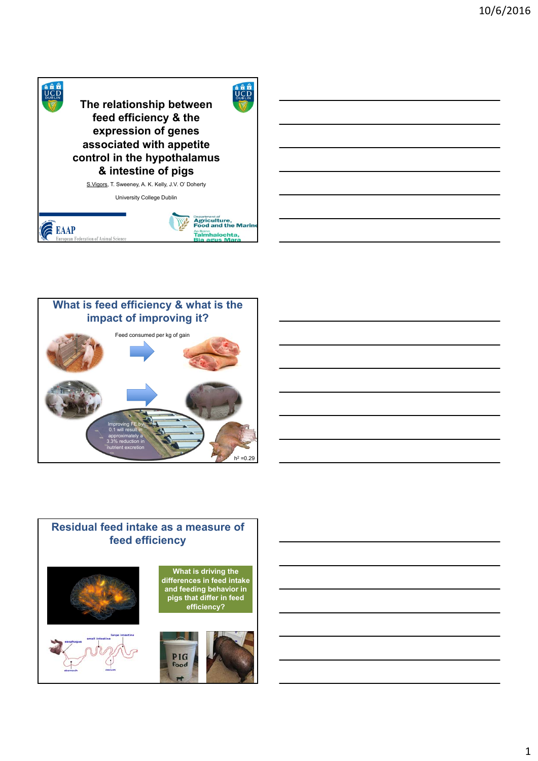





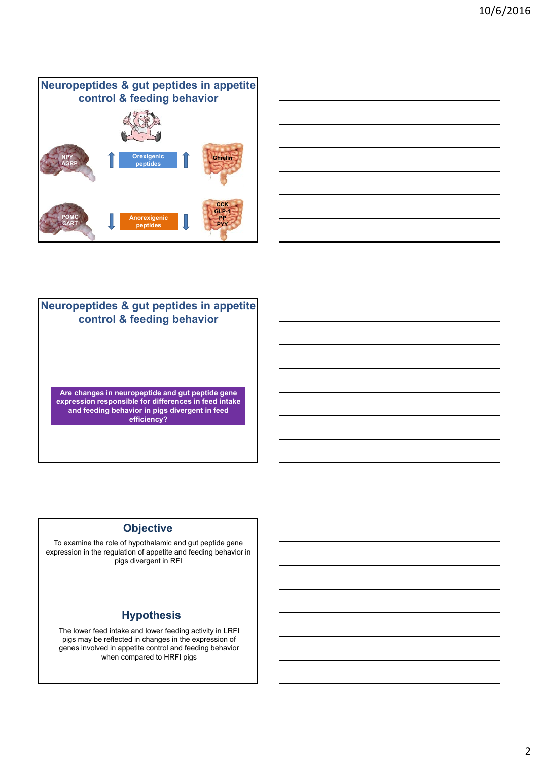#### **Neuropeptides & gut peptides in appetite control & feeding behavior NPY AGRP Ghrelin CCK GLP-1 PP PYY POMC CART Orexigenic peptides Anorexigenic peptides**



## **CCK Are changes in neuropeptide and gut peptide gene expression responsible for differences in feed intake and feeding behavior in pigs divergent in feed efficiency? Neuropeptides & gut peptides in appetite control & feeding behavior**

### **Objective**

To examine the role of hypothalamic and gut peptide gene expression in the regulation of appetite and feeding behavior in pigs divergent in RFI

## **Hypothesis**

The lower feed intake and lower feeding activity in LRFI pigs may be reflected in changes in the expression of genes involved in appetite control and feeding behavior when compared to HRFI pigs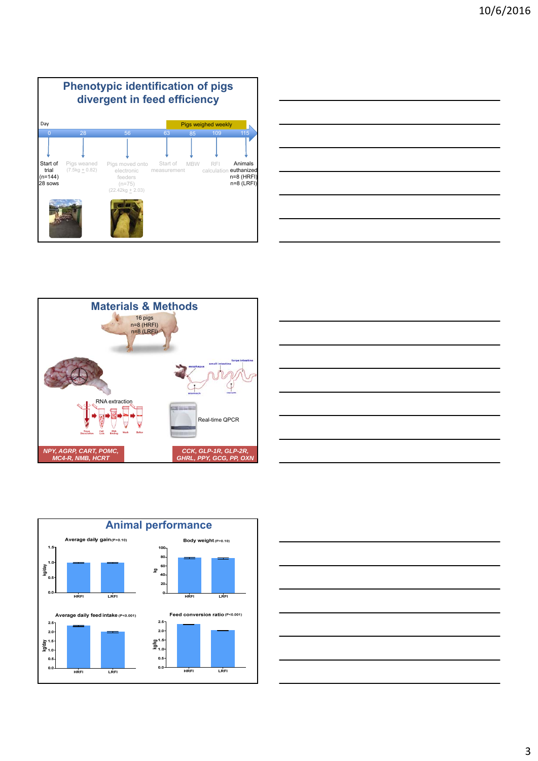









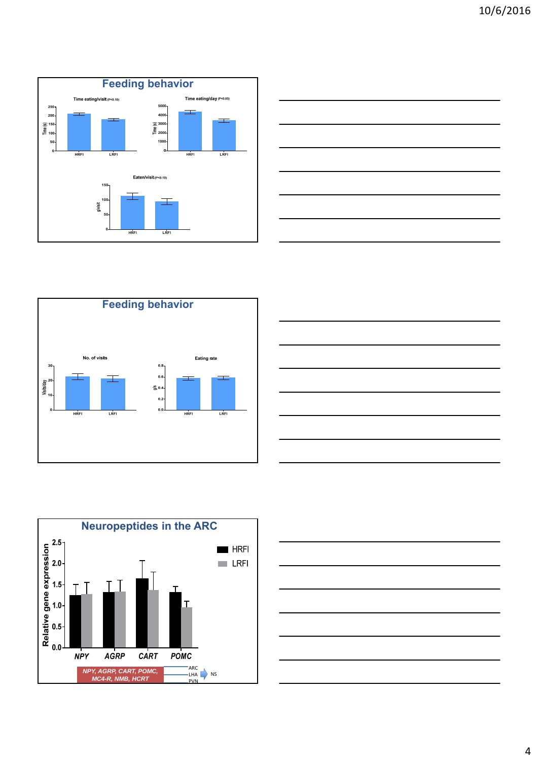









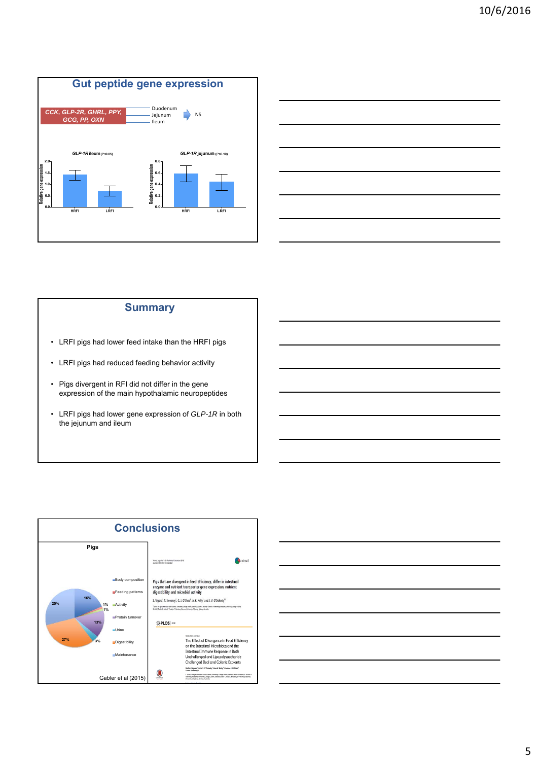



#### **Summary**

- LRFI pigs had lower feed intake than the HRFI pigs
- LRFI pigs had reduced feeding behavior activity
- Pigs divergent in RFI did not differ in the gene expression of the main hypothalamic neuropeptides
- LRFI pigs had lower gene expression of *GLP-1R* in both the jejunum and ileum



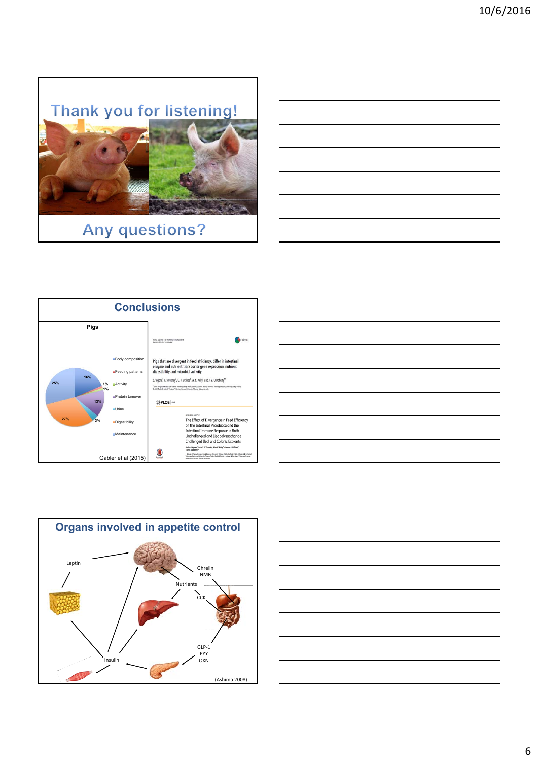

# **Any questions?**







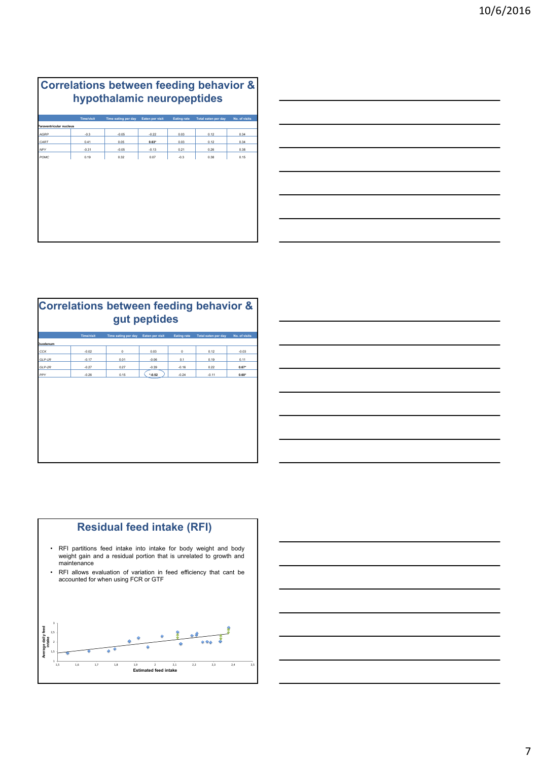|                         | <b>Time/visit</b> | Time eating per day | Eaten per visit | <b>Eating rate</b> | Total eaten per day | No. of visits |
|-------------------------|-------------------|---------------------|-----------------|--------------------|---------------------|---------------|
| Paraventricular nucleus |                   |                     |                 |                    |                     |               |
| AGRP                    | $-0.3$            | $-0.05$             | $-0.22$         | 0.03               | 0.12                | 0.34          |
| CART                    | 0.41              | 0.05                | $0.63*$         | 0.03               | 0.12                | 0.34          |
| <b>NPY</b>              | $-0.31$           | $-0.05$             | $-0.13$         | 0.21               | 0.26                | 0.38          |
| POMC                    | 0.19              | 0.32                | 0.07            | $-0.3$             | 0.38                | 0.15          |
|                         |                   |                     |                 |                    |                     |               |
|                         |                   |                     |                 |                    |                     |               |
|                         |                   |                     |                 |                    |                     |               |
|                         |                   |                     |                 |                    |                     |               |



| Correlations between feeding behavior &<br>gut peptides |                   |                     |                        |                    |                     |               |  |  |  |  |
|---------------------------------------------------------|-------------------|---------------------|------------------------|--------------------|---------------------|---------------|--|--|--|--|
|                                                         | <b>Time/visit</b> | Time eating per day | <b>Eaten per visit</b> | <b>Eating rate</b> | Total eaten per day | No. of visits |  |  |  |  |
| Duodenum                                                |                   |                     |                        |                    |                     |               |  |  |  |  |
| <b>CCK</b>                                              | $-0.02$           | 0                   | 0.03                   | $\mathbf 0$        | 0.12                | $-0.03$       |  |  |  |  |
| $GIP-1R$                                                | $-0.17$           | 0.01                | $-0.06$                | 0.1                | 0.19                | 0.11          |  |  |  |  |
| GLP-2R                                                  | $-0.27$           | 0.27                | $-0.39$                | $-0.16$            | 0.22                | $0.67*$       |  |  |  |  |
| PPY                                                     | $-0.26$           | 0.15                | $* -0.52$              | $-0.24$            | $-0.11$             | $0.60*$       |  |  |  |  |
|                                                         |                   |                     |                        |                    |                     |               |  |  |  |  |